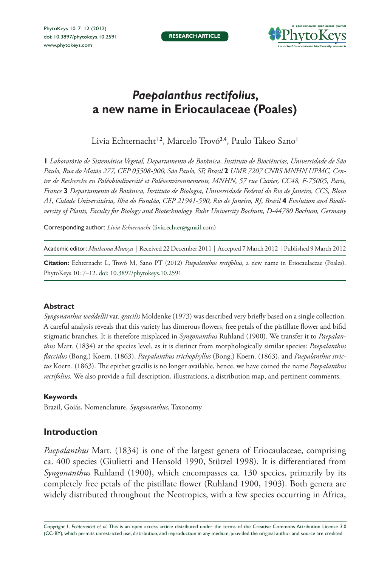PhytoKeys 10: 7–12 (2012) [doi: 10.3897/phytokeys.10.2591](http://dx.doi.org/10.3897/phytokeys.10.2591) <www.phytokeys.com>



# *Paepalanthus rectifolius***, a new name in Eriocaulaceae (Poales)**

Livia Echternacht<sup>1,2</sup>, Marcelo Trovó<sup>3,4</sup>, Paulo Takeo Sano<sup>1</sup>

**1** *Laboratório de Sistemática Vegetal, Departamento de Botânica, Instituto de Biociências, Universidade de São Paulo, Rua do Matão 277, CEP 05508-900, São Paulo, SP, Brasil* **2** *UMR 7207 CNRS MNHN UPMC, Centre de Recherche en Paléobiodiversité et Paléoenvironnements, MNHN, 57 rue Cuvier, CC48, F-75005, Paris, France* **3** *Departamento de Botânica, Instituto de Biologia, Universidade Federal do Rio de Janeiro, CCS, Bloco A1, Cidade Universitária, Ilha do Fundão, CEP 21941-590, Rio de Janeiro, RJ, Brasil* **4** *Evolution and Biodiversity of Plants, Faculty for Biology and Biotechnology. Ruhr University Bochum, D-44780 Bochum, Germany*

Corresponding author: *Livia Echternacht* [\(livia.echter@gmail.com\)](mailto:livia.echter@gmail.com)

Academic editor: *Muthama Muasya* | Received 22 December 2011 | Accepted 7 March 2012 | Published 9 March 2012

**Citation:** Echternacht L, Trovó M, Sano PT (2012) *Paepalanthus rectifolius*, a new name in Eriocaulaceae (Poales). PhytoKeys 10: 7–12. [doi: 10.3897/phytokeys.10.2591](http://dx.doi.org/10.3897/phytokeys.10.2591)

## **Abstract**

*Syngonanthus weddellii* var. *gracilis* Moldenke (1973) was described very briefly based on a single collection. A careful analysis reveals that this variety has dimerous flowers, free petals of the pistillate flower and bifid stigmatic branches. It is therefore misplaced in *Syngonanthus* Ruhland (1900). We transfer it to *Paepalanthus* Mart. (1834) at the species level, as it is distinct from morphologically similar species: *Paepalanthus flaccidus* (Bong.) Koern. (1863), *Paepalanthus trichophyllus* (Bong.) Koern. (1863), and *Paepalanthus strictus* Koern. (1863). The epithet gracilis is no longer available, hence, we have coined the name *Paepalanthus rectifolius.* We also provide a full description, illustrations, a distribution map, and pertinent comments.

## **Keywords**

Brazil, Goiás, Nomenclature, *Syngonanthus*, Taxonomy

## **Introduction**

*Paepalanthus* Mart. (1834) is one of the largest genera of Eriocaulaceae, comprising ca. 400 species (Giulietti and Hensold 1990, Stützel 1998). It is differentiated from *Syngonanthus* Ruhland (1900), which encompasses ca. 130 species, primarily by its completely free petals of the pistillate flower (Ruhland 1900, 1903). Both genera are widely distributed throughout the Neotropics, with a few species occurring in Africa,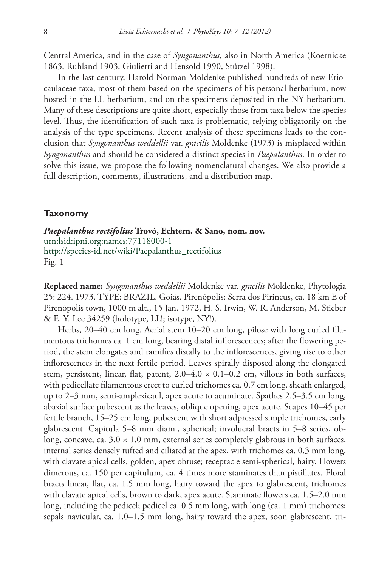Central America, and in the case of *Syngonanthus*, also in North America (Koernicke 1863, Ruhland 1903, Giulietti and Hensold 1990, Stützel 1998).

In the last century, Harold Norman Moldenke published hundreds of new Eriocaulaceae taxa, most of them based on the specimens of his personal herbarium, now hosted in the LL herbarium, and on the specimens deposited in the NY herbarium. Many of these descriptions are quite short, especially those from taxa below the species level. Thus, the identification of such taxa is problematic, relying obligatorily on the analysis of the type specimens. Recent analysis of these specimens leads to the conclusion that *Syngonanthus weddellii* var. *gracilis* Moldenke (1973) is misplaced within *Syngonanthus* and should be considered a distinct species in *Paepalanthus*. In order to solve this issue, we propose the following nomenclatural changes. We also provide a full description, comments, illustrations, and a distribution map.

#### **Taxonomy**

*Paepalanthus rectifolius* **Trovó, Echtern. & Sano***,* **nom. nov.** [urn:lsid:ipni.org:names:77118000-1](http://ipni.org/urn:lsid:ipni.org:names:77118000-1) [http://species-id.net/wiki/Paepalanthus\\_rectifolius](http://species-id.net/wiki/Paepalanthus_rectifolius) Fig. 1

**Replaced name:** *Syngonanthus weddellii* Moldenke var. *gracilis* Moldenke, Phytologia 25: 224. 1973. TYPE: BRAZIL. Goiás. Pirenópolis: Serra dos Pirineus, ca. 18 km E of Pirenópolis town, 1000 m alt., 15 Jan. 1972, H. S. Irwin, W. R. Anderson, M. Stieber & E. Y. Lee 34259 (holotype, LL!; isotype, NY!).

Herbs, 20–40 cm long. Aerial stem 10–20 cm long, pilose with long curled filamentous trichomes ca. 1 cm long, bearing distal inflorescences; after the flowering period, the stem elongates and ramifies distally to the inflorescences, giving rise to other inflorescences in the next fertile period. Leaves spirally disposed along the elongated stem, persistent, linear, flat, patent,  $2.0-4.0 \times 0.1-0.2$  cm, villous in both surfaces, with pedicellate filamentous erect to curled trichomes ca. 0.7 cm long, sheath enlarged, up to 2–3 mm, semi-amplexicaul, apex acute to acuminate. Spathes 2.5–3.5 cm long, abaxial surface pubescent as the leaves, oblique opening, apex acute. Scapes 10–45 per fertile branch, 15–25 cm long, pubescent with short adpressed simple trichomes, early glabrescent. Capitula 5–8 mm diam., spherical; involucral bracts in 5–8 series, oblong, concave, ca.  $3.0 \times 1.0$  mm, external series completely glabrous in both surfaces, internal series densely tufted and ciliated at the apex, with trichomes ca. 0.3 mm long, with clavate apical cells, golden, apex obtuse; receptacle semi-spherical, hairy. Flowers dimerous, ca. 150 per capitulum, ca. 4 times more staminates than pistillates. Floral bracts linear, flat, ca. 1.5 mm long, hairy toward the apex to glabrescent, trichomes with clavate apical cells, brown to dark, apex acute. Staminate flowers ca. 1.5–2.0 mm long, including the pedicel; pedicel ca. 0.5 mm long, with long (ca. 1 mm) trichomes; sepals navicular, ca. 1.0–1.5 mm long, hairy toward the apex, soon glabrescent, tri-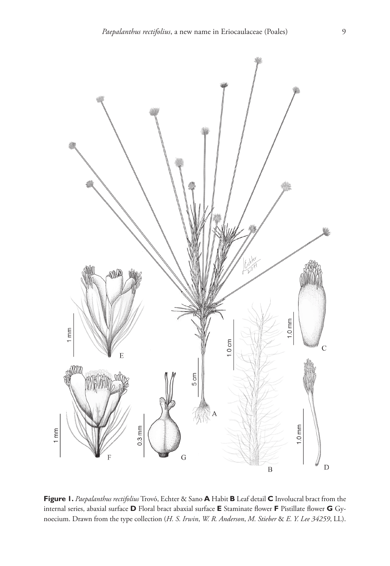

**Figure 1.** *Paepalanthus rectifolius* Trovó, Echter & Sano **A** Habit **B** Leaf detail **C** Involucral bract from the internal series, abaxial surface **D** Floral bract abaxial surface **E** Staminate flower **F** Pistillate flower **G** Gynoecium. Drawn from the type collection (*H. S. Irwin*, *W. R. Anderson*, *M. Stieber* & *E. Y. Lee 34259*, LL).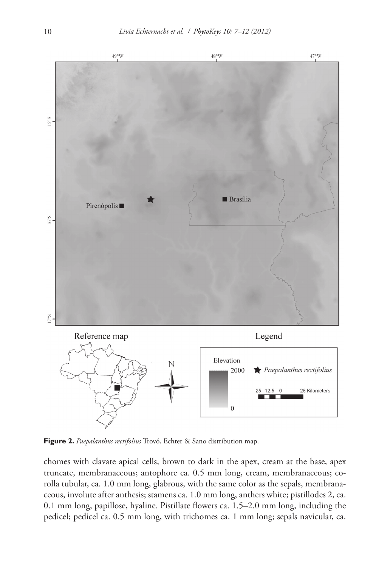

**Figure 2.** *Paepalanthus rectifolius* Trovó, Echter & Sano distribution map.

chomes with clavate apical cells, brown to dark in the apex, cream at the base, apex truncate, membranaceous; antophore ca. 0.5 mm long, cream, membranaceous; corolla tubular, ca. 1.0 mm long, glabrous, with the same color as the sepals, membranaceous, involute after anthesis; stamens ca. 1.0 mm long, anthers white; pistillodes 2, ca. 0.1 mm long, papillose, hyaline. Pistillate flowers ca. 1.5–2.0 mm long, including the pedicel; pedicel ca. 0.5 mm long, with trichomes ca. 1 mm long; sepals navicular, ca.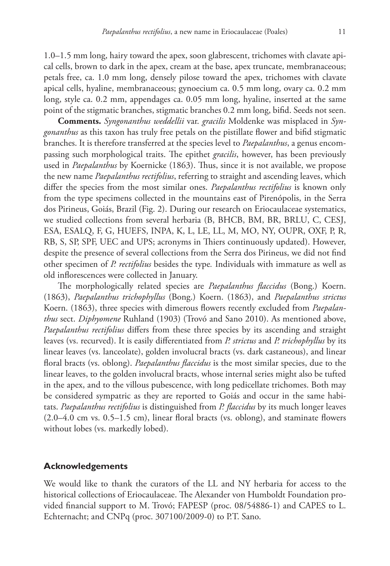1.0–1.5 mm long, hairy toward the apex, soon glabrescent, trichomes with clavate apical cells, brown to dark in the apex, cream at the base, apex truncate, membranaceous; petals free, ca. 1.0 mm long, densely pilose toward the apex, trichomes with clavate apical cells, hyaline, membranaceous; gynoecium ca. 0.5 mm long, ovary ca. 0.2 mm long, style ca. 0.2 mm, appendages ca. 0.05 mm long, hyaline, inserted at the same point of the stigmatic branches, stigmatic branches 0.2 mm long, bifid. Seeds not seen.

**Comments.** *Syngonanthus weddellii* var. *gracilis* Moldenke was misplaced in *Syngonanthus* as this taxon has truly free petals on the pistillate flower and bifid stigmatic branches. It is therefore transferred at the species level to *Paepalanthus*, a genus encompassing such morphological traits. The epithet *gracilis*, however, has been previously used in *Paepalanthus* by Koernicke (1863). Thus, since it is not available, we propose the new name *Paepalanthus rectifolius*, referring to straight and ascending leaves, which differ the species from the most similar ones. *Paepalanthus rectifolius* is known only from the type specimens collected in the mountains east of Pirenópolis, in the Serra dos Pirineus, Goiás, Brazil (Fig. 2). During our research on Eriocaulaceae systematics, we studied collections from several herbaria (B, BHCB, BM, BR, BRLU, C, CESJ, ESA, ESALQ, F, G, HUEFS, INPA, K, L, LE, LL, M, MO, NY, OUPR, OXF, P, R, RB, S, SP, SPF, UEC and UPS; acronyms in Thiers continuously updated). However, despite the presence of several collections from the Serra dos Pirineus, we did not find other specimen of *P. rectifolius* besides the type*.* Individuals with immature as well as old inflorescences were collected in January.

The morphologically related species are *Paepalanthus flaccidus* (Bong.) Koern. (1863), *Paepalanthus trichophyllus* (Bong.) Koern. (1863), and *Paepalanthus strictus*  Koern. (1863), three species with dimerous flowers recently excluded from *Paepalanthus* sect. *Diphyomene* Ruhland (1903) (Trovó and Sano 2010). As mentioned above, *Paepalanthus rectifolius* differs from these three species by its ascending and straight leaves (vs. recurved). It is easily differentiated from *P. strictus* and *P. trichophyllus* by its linear leaves (vs. lanceolate), golden involucral bracts (vs. dark castaneous), and linear floral bracts (vs. oblong). *Paepalanthus flaccidus* is the most similar species, due to the linear leaves, to the golden involucral bracts, whose internal series might also be tufted in the apex, and to the villous pubescence, with long pedicellate trichomes. Both may be considered sympatric as they are reported to Goiás and occur in the same habitats. *Paepalanthus rectifolius* is distinguished from *P. flaccidus* by its much longer leaves (2.0–4.0 cm vs. 0.5–1.5 cm), linear floral bracts (vs. oblong), and staminate flowers without lobes (vs. markedly lobed).

## **Acknowledgements**

We would like to thank the curators of the LL and NY herbaria for access to the historical collections of Eriocaulaceae. The Alexander von Humboldt Foundation provided financial support to M. Trovó; FAPESP (proc. 08/54886-1) and CAPES to L. Echternacht; and CNPq (proc. 307100/2009-0) to P.T. Sano.